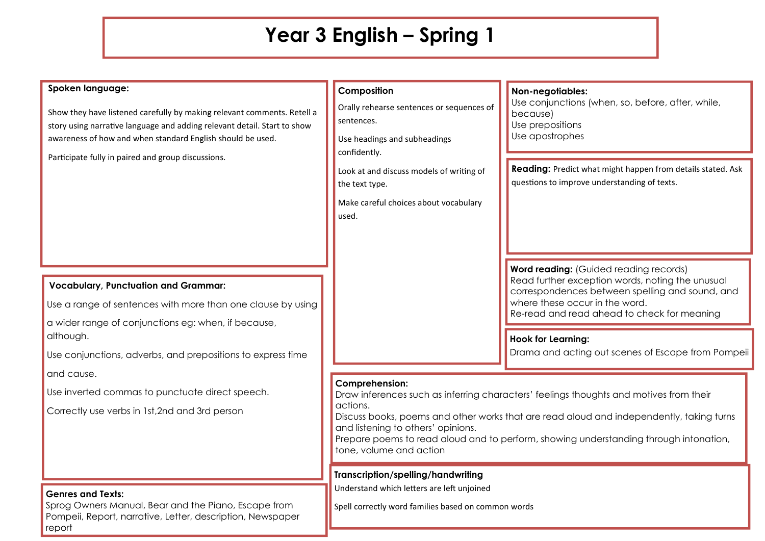# **Year 3 English – Spring 1**

#### **Spoken language:**

Show they have listened carefully by making relevant comments. Retell a story using narrative language and adding relevant detail. Start to show awareness of how and when standard English should be used.

Participate fully in paired and group discussions.

## **Vocabulary, Punctuation and Grammar:**

Use a range of sentences with more than one clause by using

a wider range of conjunctions eg: when, if because, although.

Use conjunctions, adverbs, and prepositions to express time and cause.

Use inverted commas to punctuate direct speech.

Correctly use verbs in 1st,2nd and 3rd person

#### **Genres and Texts:**

Sprog Owners Manual, Bear and the Piano, Escape from Pompeii, Report, narrative, Letter, description, Newspaper report

## **Composition**

Orally rehearse sentences or sequences of sentences.

Use headings and subheadings confidently.

Look at and discuss models of writing of the text type.

Make careful choices about vocabulary used.

# **Non-negotiables:**

Use conjunctions (when, so, before, after, while, because) Use prepositions Use apostrophes

**Reading:** Predict what might happen from details stated. Ask questions to improve understanding of texts.

**Word reading:** (Guided reading records) Read further exception words, noting the unusual correspondences between spelling and sound, and where these occur in the word. Re-read and read ahead to check for meaning

**Hook for Learning:**

Drama and acting out scenes of Escape from Pompeii

#### **Comprehension:**

Draw inferences such as inferring characters' feelings thoughts and motives from their actions.

Discuss books, poems and other works that are read aloud and independently, taking turns and listening to others' opinions.

Prepare poems to read aloud and to perform, showing understanding through intonation, tone, volume and action

### **Transcription/spelling/handwriting**

Understand which letters are left unjoined

Spell correctly word families based on common words